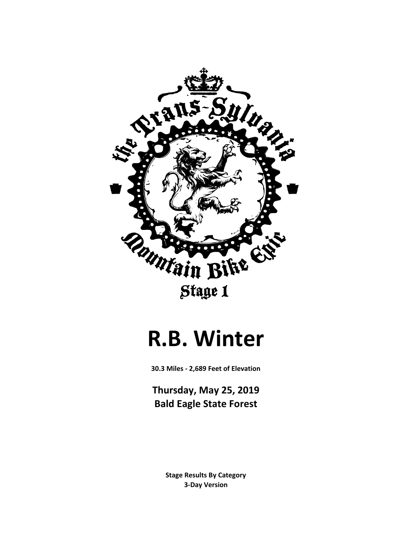

# **R.B. Winter**

**30.3 Miles - 2,689 Feet of Elevation**

**Thursday, May 25, 2019 Bald Eagle State Forest**

> **3-Day Version Stage Results By Category**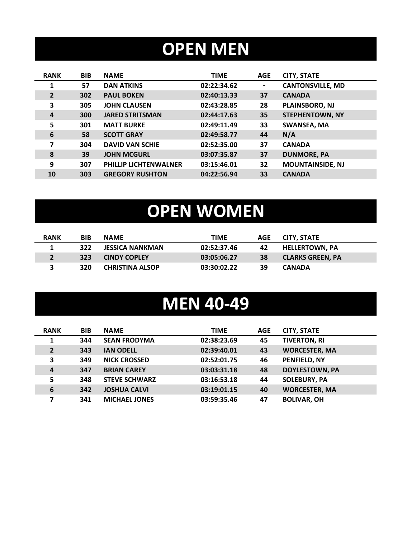## **OPEN MEN**

| <b>RANK</b>    | <b>BIB</b> | <b>NAME</b>                  | <b>TIME</b> | <b>AGE</b>     | <b>CITY, STATE</b>      |
|----------------|------------|------------------------------|-------------|----------------|-------------------------|
| 1              | 57         | <b>DAN ATKINS</b>            | 02:22:34.62 | $\blacksquare$ | <b>CANTONSVILLE, MD</b> |
| $\overline{2}$ | 302        | <b>PAUL BOKEN</b>            | 02:40:13.33 | 37             | <b>CANADA</b>           |
| 3              | 305        | <b>JOHN CLAUSEN</b>          | 02:43:28.85 | 28             | PLAINSBORO, NJ          |
| 4              | 300        | <b>JARED STRITSMAN</b>       | 02:44:17.63 | 35             | <b>STEPHENTOWN, NY</b>  |
| 5              | 301        | <b>MATT BURKE</b>            | 02:49:11.49 | 33             | <b>SWANSEA, MA</b>      |
| 6              | 58         | <b>SCOTT GRAY</b>            | 02:49:58.77 | 44             | N/A                     |
| 7              | 304        | <b>DAVID VAN SCHIE</b>       | 02:52:35.00 | 37             | <b>CANADA</b>           |
| 8              | 39         | <b>JOHN MCGURL</b>           | 03:07:35.87 | 37             | <b>DUNMORE, PA</b>      |
| 9              | 307        | <b>PHILLIP LICHTENWALNER</b> | 03:15:46.01 | 32             | <b>MOUNTAINSIDE, NJ</b> |
| 10             | 303        | <b>GREGORY RUSHTON</b>       | 04:22:56.94 | 33             | <b>CANADA</b>           |

# **OPEN WOMEN**

| <b>RANK</b> | <b>BIB</b> | <b>NAME</b>            | TIME        | AGE | CITY. STATE             |
|-------------|------------|------------------------|-------------|-----|-------------------------|
|             | 322        | <b>JESSICA NANKMAN</b> | 02:52:37.46 | 42  | <b>HELLERTOWN. PA</b>   |
|             | 323        | <b>CINDY COPLEY</b>    | 03:05:06.27 | 38  | <b>CLARKS GREEN. PA</b> |
|             | 320        | <b>CHRISTINA ALSOP</b> | 03:30:02.22 | 39  | <b>CANADA</b>           |

#### **MEN 40-49**

| <b>RANK</b>    | <b>BIB</b> | <b>NAME</b>          | <b>TIME</b> | <b>AGE</b> | <b>CITY, STATE</b>    |
|----------------|------------|----------------------|-------------|------------|-----------------------|
| 1              | 344        | <b>SEAN FRODYMA</b>  | 02:38:23.69 | 45         | <b>TIVERTON, RI</b>   |
| $\overline{2}$ | 343        | <b>IAN ODELL</b>     | 02:39:40.01 | 43         | <b>WORCESTER, MA</b>  |
| 3              | 349        | <b>NICK CROSSED</b>  | 02:52:01.75 | 46         | PENFIELD, NY          |
| 4              | 347        | <b>BRIAN CAREY</b>   | 03:03:31.18 | 48         | <b>DOYLESTOWN, PA</b> |
| 5              | 348        | <b>STEVE SCHWARZ</b> | 03:16:53.18 | 44         | <b>SOLEBURY, PA</b>   |
| 6              | 342        | <b>JOSHUA CALVI</b>  | 03:19:01.15 | 40         | <b>WORCESTER, MA</b>  |
| 7              | 341        | <b>MICHAEL JONES</b> | 03:59:35.46 | 47         | <b>BOLIVAR, OH</b>    |